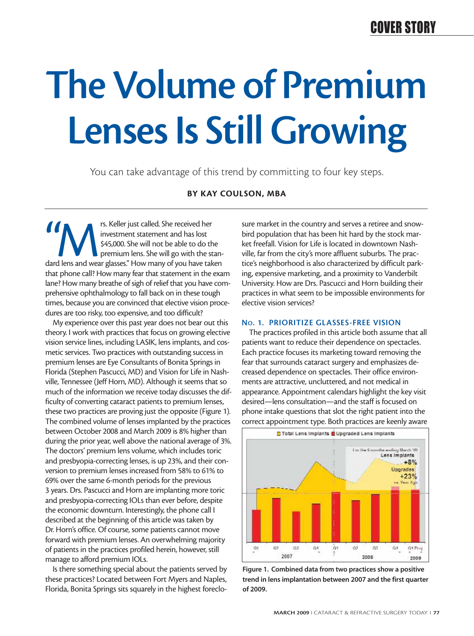## COVER STORY

# **The Volume of Premium Lenses Is Still Growing**

You can take advantage of this trend by committing to four key steps.

## **BY KAY COULSON, MBA**

<sup>rs. Keller just called. She received her<br>investment statement and has lost<br>\$45,000. She will not be able to do the<br>premium lens. She will go with the stan-<br>dard lens and wear glasses." How many of you have taken</sup> investment statement and has lost \$45,000. She will not be able to do the premium lens. She will go with the stanthat phone call? How many fear that statement in the exam lane? How many breathe of sigh of relief that you have comprehensive ophthalmology to fall back on in these tough times, because you are convinced that elective vision procedures are too risky, too expensive, and too difficult?

My experience over this past year does not bear out this theory. I work with practices that focus on growing elective vision service lines, including LASIK, lens implants, and cosmetic services. Two practices with outstanding success in premium lenses are Eye Consultants of Bonita Springs in Florida (Stephen Pascucci, MD) and Vision for Life in Nashville, Tennessee (Jeff Horn, MD). Although it seems that so much of the information we receive today discusses the difficulty of converting cataract patients to premium lenses, these two practices are proving just the opposite (Figure 1). The combined volume of lenses implanted by the practices between October 2008 and March 2009 is 8% higher than during the prior year, well above the national average of 3%. The doctors' premium lens volume, which includes toric and presbyopia-correcting lenses, is up 23%, and their conversion to premium lenses increased from 58% to 61% to 69% over the same 6-month periods for the previous 3 years. Drs. Pascucci and Horn are implanting more toric and presbyopia-correcting IOLs than ever before, despite the economic downturn. Interestingly, the phone call I described at the beginning of this article was taken by Dr. Horn's office. Of course, some patients cannot move forward with premium lenses. An overwhelming majority of patients in the practices profiled herein, however, still manage to afford premium IOLs.

Is there something special about the patients served by these practices? Located between Fort Myers and Naples, Florida, Bonita Springs sits squarely in the highest foreclosure market in the country and serves a retiree and snowbird population that has been hit hard by the stock market freefall. Vision for Life is located in downtown Nashville, far from the city's more affluent suburbs. The practice's neighborhood is also characterized by difficult parking, expensive marketing, and a proximity to Vanderbilt University. How are Drs. Pascucci and Horn building their practices in what seem to be impossible environments for elective vision services?

### **NO. 1. PRIORITIZE GLASSES-FREE VISION**

The practices profiled in this article both assume that all patients want to reduce their dependence on spectacles. Each practice focuses its marketing toward removing the fear that surrounds cataract surgery and emphasizes decreased dependence on spectacles. Their office environments are attractive, uncluttered, and not medical in appearance. Appointment calendars highlight the key visit desired—lens consultation—and the staff is focused on phone intake questions that slot the right patient into the correct appointment type. Both practices are keenly aware



**Figure 1. Combined data from two practices show a positive trend in lens implantation between 2007 and the first quarter of 2009.**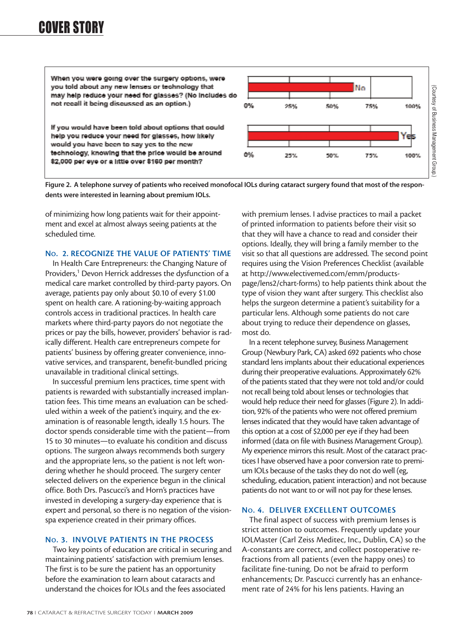## COVER STORY

When you were going over the surgery options, were you told about any new lenses or technology that No (Courtesy of Business Management Group. (Courtesy of Business Management Group.)may help reduce your need for glasses? (No includes do not recall it being discussed as an option.) 0% 50% 100% 25% 75% If you would have been told about options that could help you reduce your need for glasses, how likely Yes would you have been to say yes to the new technology, knowing that the price would be around 0% 25% 50% 75% 100% \$2,000 per eye or a little over \$160 per month?

**Figure 2. A telephone survey of patients who received monofocal IOLs during cataract surgery found that most of the respondents were interested in learning about premium IOLs.**

of minimizing how long patients wait for their appointment and excel at almost always seeing patients at the scheduled time.

## **NO. 2. RECOGNIZE THE VALUE OF PATIENTS' TIME**

In Health Care Entrepreneurs: the Changing Nature of Providers,<sup>1</sup> Devon Herrick addresses the dysfunction of a medical care market controlled by third-party payors. On average, patients pay only about \$0.10 of every \$1.00 spent on health care. A rationing-by-waiting approach controls access in traditional practices. In health care markets where third-party payors do not negotiate the prices or pay the bills, however, providers' behavior is radically different. Health care entrepreneurs compete for patients' business by offering greater convenience, innovative services, and transparent, benefit-bundled pricing unavailable in traditional clinical settings.

In successful premium lens practices, time spent with patients is rewarded with substantially increased implantation fees. This time means an evaluation can be scheduled within a week of the patient's inquiry, and the examination is of reasonable length, ideally 1.5 hours. The doctor spends considerable time with the patient—from 15 to 30 minutes—to evaluate his condition and discuss options. The surgeon always recommends both surgery and the appropriate lens, so the patient is not left wondering whether he should proceed. The surgery center selected delivers on the experience begun in the clinical office. Both Drs. Pascucci's and Horn's practices have invested in developing a surgery-day experience that is expert and personal, so there is no negation of the visionspa experience created in their primary offices.

## **NO. 3. INVOLVE PATIENTS IN THE PROCESS**

Two key points of education are critical in securing and maintaining patients' satisfaction with premium lenses. The first is to be sure the patient has an opportunity before the examination to learn about cataracts and understand the choices for IOLs and the fees associated

with premium lenses. I advise practices to mail a packet of printed information to patients before their visit so that they will have a chance to read and consider their options. Ideally, they will bring a family member to the visit so that all questions are addressed. The second point requires using the Vision Preferences Checklist (available at http://www.electivemed.com/emm/productspage/lens2/chart-forms) to help patients think about the type of vision they want after surgery. This checklist also helps the surgeon determine a patient's suitability for a particular lens. Although some patients do not care about trying to reduce their dependence on glasses, most do.

In a recent telephone survey, Business Management Group (Newbury Park, CA) asked 692 patients who chose standard lens implants about their educational experiences during their preoperative evaluations. Approximately 62% of the patients stated that they were not told and/or could not recall being told about lenses or technologies that would help reduce their need for glasses (Figure 2). In addition, 92% of the patients who were not offered premium lenses indicated that they would have taken advantage of this option at a cost of \$2,000 per eye if they had been informed (data on file with Business Management Group). My experience mirrors this result. Most of the cataract practices I have observed have a poor conversion rate to premium IOLs because of the tasks they do not do well (eg, scheduling, education, patient interaction) and not because patients do not want to or will not pay for these lenses.

### **NO. 4. DELIVER EXCELLENT OUTCOMES**

The final aspect of success with premium lenses is strict attention to outcomes. Frequently update your IOLMaster (Carl Zeiss Meditec, Inc., Dublin, CA) so the A-constants are correct, and collect postoperative refractions from all patients (even the happy ones) to facilitate fine-tuning. Do not be afraid to perform enhancements; Dr. Pascucci currently has an enhancement rate of 24% for his lens patients. Having an